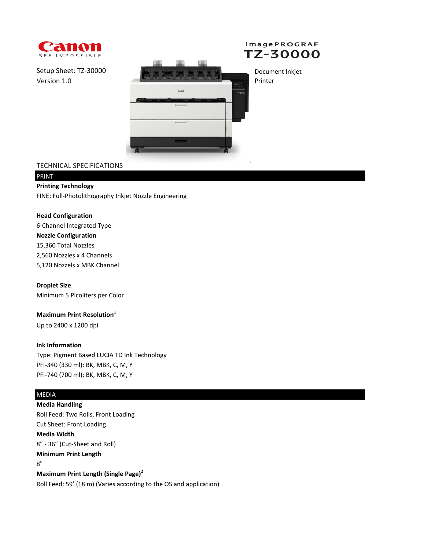



Setup Sheet: TZ-30000 Version 1.0



Document Inkjet Printer

## TECHNICAL SPECIFICATIONS

# PRINT

**Printing Technology** FINE: Full-Photolithography Inkjet Nozzle Engineering

#### **Head Configuration**

6-Channel Integrated Type **Nozzle Configuration** 2,560 Nozzles x 4 Channels 5,120 Nozzels x MBK Channel 15,360 Total Nozzles

#### **Droplet Size**

Minimum 5 Picoliters per Color

## **Maximum Print Resolution**<sup>1</sup>

Up to 2400 x 1200 dpi

#### **Ink Information**

Type: Pigment Based LUCIA TD Ink Technology PFI-340 (330 ml): BK, MBK, C, M, Y PFI-740 (700 ml): BK, MBK, C, M, Y

## MEDIA

**Media Handling** Roll Feed: Two Rolls, Front Loading Cut Sheet: Front Loading **Media Width**

8" - 36" (Cut-Sheet and Roll)

#### **Minimum Print Length**

8"

**Maximum Print Length (Single Page)<sup>2</sup>**

Roll Feed: 59' (18 m) (Varies according to the OS and application)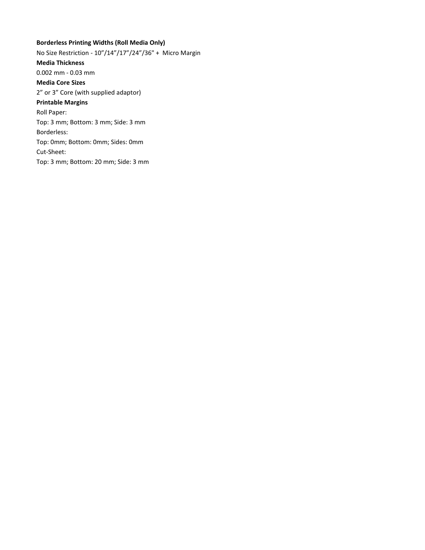## **Borderless Printing Widths (Roll Media Only)**

No Size Restriction - 10"/14"/17"/24"/36" + Micro Margin **Media Thickness** 0.002 mm - 0.03 mm **Media Core Sizes** 2" or 3" Core (with supplied adaptor) **Printable Margins** Roll Paper: Top: 3 mm; Bottom: 3 mm; Side: 3 mm Borderless: Top: 0mm; Bottom: 0mm; Sides: 0mm Cut-Sheet: Top: 3 mm; Bottom: 20 mm; Side: 3 mm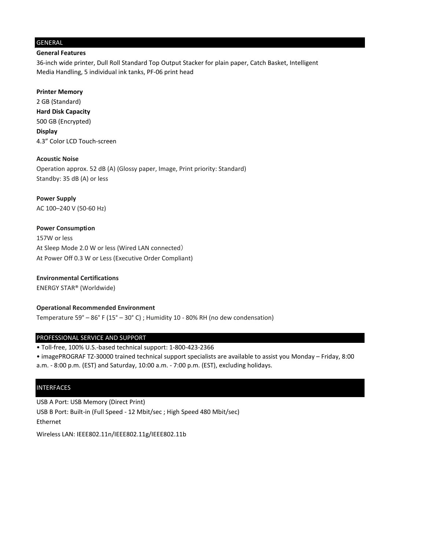#### GENERAL

#### **General Features**

36-inch wide printer, Dull Roll Standard Top Output Stacker for plain paper, Catch Basket, Intelligent Media Handling, 5 individual ink tanks, PF-06 print head

**Printer Memory**

2 GB (Standard) **Hard Disk Capacity** 500 GB (Encrypted) **Display** 4.3" Color LCD Touch-screen

**Acoustic Noise**

Operation approx. 52 dB (A) (Glossy paper, Image, Print priority: Standard) Standby: 35 dB (A) or less

**Power Supply** AC 100–240 V (50-60 Hz)

**Power Consumption** 157W or less At Sleep Mode 2.0 W or less (Wired LAN connected) At Power Off 0.3 W or Less (Executive Order Compliant)

**Environmental Certifications** ENERGY STAR® (Worldwide)

**Operational Recommended Environment** Temperature 59° – 86° F (15° – 30° C) ; Humidity 10 - 80% RH (no dew condensation)

#### PROFESSIONAL SERVICE AND SUPPORT

• Toll-free, 100% U.S.-based technical support: 1-800-423-2366

• imagePROGRAF TZ-30000 trained technical support specialists are available to assist you Monday – Friday, 8:00

a.m. - 8:00 p.m. (EST) and Saturday, 10:00 a.m. - 7:00 p.m. (EST), excluding holidays.

#### INTERFACES

USB A Port: USB Memory (Direct Print) USB B Port: Built-in (Full Speed - 12 Mbit/sec ; High Speed 480 Mbit/sec) Ethernet

Wireless LAN: IEEE802.11n/IEEE802.11g/IEEE802.11b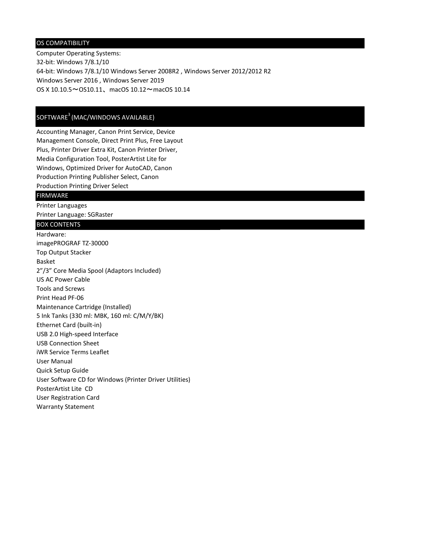#### OS COMPATIBILITY

Computer Operating Systems: 32-bit: Windows 7/8.1/10 64-bit: Windows 7/8.1/10 Windows Server 2008R2 , Windows Server 2012/2012 R2 Windows Server 2016 , Windows Server 2019 OS X 10.10.5~OS10.11、macOS 10.12~macOS 10.14

## SOFTWARE<sup>3</sup> (MAC/WINDOWS AVAILABLE)

Accounting Manager, Canon Print Service, Device Management Console, Direct Print Plus, Free Layout Plus, Printer Driver Extra Kit, Canon Printer Driver, Media Configuration Tool, PosterArtist Lite for Windows, Optimized Driver for AutoCAD, Canon Production Printing Publisher Select, Canon Production Printing Driver Select

#### FIRMWARE

Printer Languages Printer Language: SGRaster

## BOX CONTENTS

Hardware: imagePROGRAF TZ-30000 Top Output Stacker Basket 2"/3" Core Media Spool (Adaptors Included) US AC Power Cable Tools and Screws Print Head PF-06 Maintenance Cartridge (Installed) 5 Ink Tanks (330 ml: MBK, 160 ml: C/M/Y/BK) Ethernet Card (built-in) USB 2.0 High-speed Interface USB Connection Sheet iWR Service Terms Leaflet User Manual Quick Setup Guide User Software CD for Windows (Printer Driver Utilities) PosterArtist Lite CD User Registration Card Warranty Statement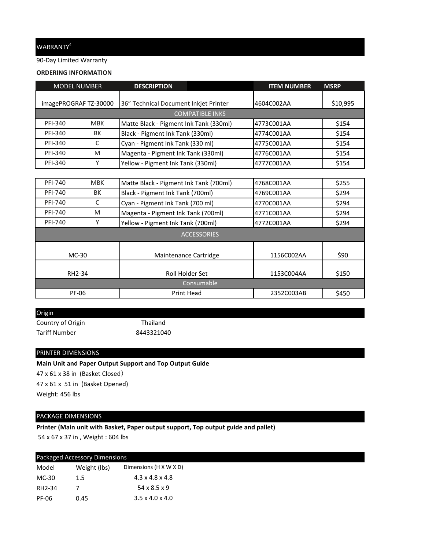## WARRANTY<sup>4</sup>

90-Day Limited Warranty

#### **ORDERING INFORMATION**

|                        | <b>MODEL NUMBER</b>   | <b>DESCRIPTION</b>                     | <b>ITEM NUMBER</b> | <b>MSRP</b> |  |  |  |  |
|------------------------|-----------------------|----------------------------------------|--------------------|-------------|--|--|--|--|
|                        |                       |                                        |                    |             |  |  |  |  |
|                        | imagePROGRAF TZ-30000 | 36" Technical Document Inkjet Printer  | 4604C002AA         | \$10,995    |  |  |  |  |
| <b>COMPATIBLE INKS</b> |                       |                                        |                    |             |  |  |  |  |
| <b>PFI-340</b>         | <b>MBK</b>            | Matte Black - Pigment Ink Tank (330ml) | 4773C001AA         | \$154       |  |  |  |  |
| <b>PFI-340</b>         | BK                    | Black - Pigment Ink Tank (330ml)       | 4774C001AA         | \$154       |  |  |  |  |
| PFI-340                | C                     | Cyan - Pigment Ink Tank (330 ml)       | 4775C001AA         | \$154       |  |  |  |  |
| <b>PFI-340</b>         | M                     | Magenta - Pigment Ink Tank (330ml)     | 4776C001AA         | \$154       |  |  |  |  |
| <b>PFI-340</b>         | Y                     | Yellow - Pigment Ink Tank (330ml)      | 4777C001AA         | \$154       |  |  |  |  |
|                        |                       |                                        |                    |             |  |  |  |  |
| <b>PFI-740</b>         | <b>MBK</b>            | Matte Black - Pigment Ink Tank (700ml) | 4768C001AA         | \$255       |  |  |  |  |
| <b>PFI-740</b>         | BK                    | Black - Pigment Ink Tank (700ml)       | 4769C001AA         | \$294       |  |  |  |  |
| <b>PFI-740</b>         | C                     | Cyan - Pigment Ink Tank (700 ml)       | 4770C001AA         | \$294       |  |  |  |  |
| <b>PFI-740</b>         | M                     | Magenta - Pigment Ink Tank (700ml)     | 4771C001AA         | \$294       |  |  |  |  |
| <b>PFI-740</b>         | Υ                     | Yellow - Pigment Ink Tank (700ml)      | 4772C001AA         | \$294       |  |  |  |  |
| <b>ACCESSORIES</b>     |                       |                                        |                    |             |  |  |  |  |
| $MC-30$                |                       | Maintenance Cartridge                  | 1156C002AA         | \$90        |  |  |  |  |
|                        |                       |                                        |                    |             |  |  |  |  |
|                        | RH2-34                | Roll Holder Set                        | 1153C004AA         | \$150       |  |  |  |  |
|                        |                       | Consumable                             |                    |             |  |  |  |  |
|                        | <b>PF-06</b>          | <b>Print Head</b>                      | 2352C003AB         | \$450       |  |  |  |  |

Tariff Number 8443321040 Origin Country of Origin Thailand

PRINTER DIMENSIONS

**Main Unit and Paper Output Support and Top Output Guide** 47 x 61 x 38 in (Basket Closed) 47 x 61 x 51 in (Basket Opened) Weight: 456 lbs

## PACKAGE DIMENSIONS

**Printer (Main unit with Basket, Paper output support, Top output guide and pallet)** 54 x 67 x 37 in , Weight : 604 lbs

| Packaged Accessory Dimensions |              |                             |  |  |
|-------------------------------|--------------|-----------------------------|--|--|
| Model                         | Weight (lbs) | Dimensions (H X W X D)      |  |  |
| MC-30                         | 1.5          | $4.3 \times 4.8 \times 4.8$ |  |  |
| RH2-34                        |              | $54 \times 8.5 \times 9$    |  |  |
| PF-06                         | 0.45         | $3.5 \times 4.0 \times 4.0$ |  |  |